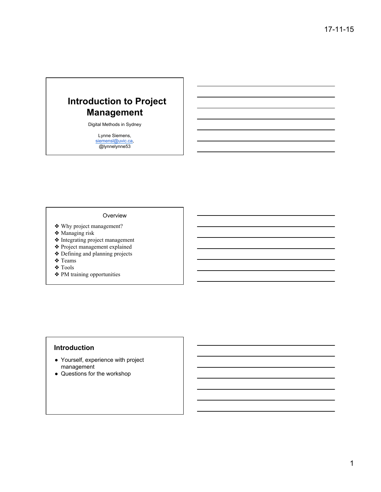# **Introduction to Project Management**

Digital Methods in Sydney

Lynne Siemens, siemensl@uvic.ca, @lynnelynne53

#### Overview

- ❖ Why project management?
- ❖ Managing risk
- ❖ Integrating project management
- ❖ Project management explained
- ❖ Defining and planning projects
- ❖ Teams
- ❖ Tools
- ❖ PM training opportunities

## **Introduction**

- Yourself, experience with project management
- Questions for the workshop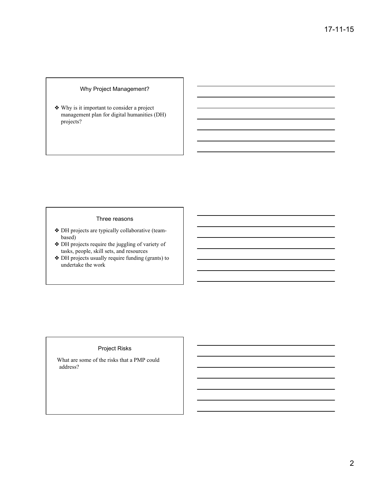#### Why Project Management?

❖ Why is it important to consider a project management plan for digital humanities (DH) projects?

#### Three reasons

- ❖ DH projects are typically collaborative (teambased)
- ❖ DH projects require the juggling of variety of  $t$ asks, people, skill sets, and resources
- ❖ DH projects usually require funding (grants) to undertake the work

#### Project Risks

What are some of the risks that a PMP could address?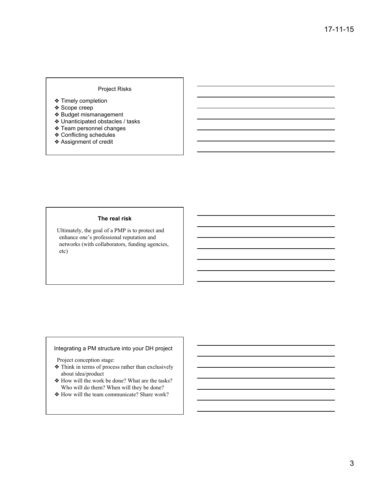#### Project Risks

- ❖ Timely completion
- ❖ Scope creep
- ❖ Budget mismanagement
- ❖ Unanticipated obstacles / tasks
- ❖ Team personnel changes
- ❖ Conflicting schedules
- ❖ Assignment of credit

#### **The real risk**

Ultimately, the goal of a PMP is to protect and enhance one's professional reputation and networks (with collaborators, funding agencies, etc)

#### Integrating a PM structure into your DH project

Project conception stage:

- ❖ Think in terms of process rather than exclusively about idea/product
- ❖ How will the work be done? What are the tasks? Who will do them? When will they be done?
- ❖ How will the team communicate? Share work?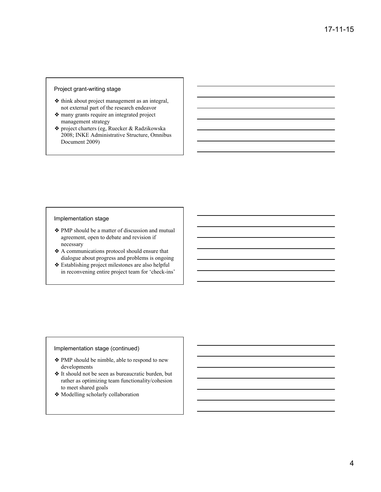#### Project grant-writing stage

- ❖ think about project management as an integral, not external part of the research endeavor
- ❖ many grants require an integrated project management strategy
- ❖ project charters (eg, Ruecker & Radzikowska 2008; INKE Administrative Structure, Omnibus Document 2009)

#### Implementation stage

- ❖ PMP should be a matter of discussion and mutual agreement, open to debate and revision if necessary
- ❖ A communications protocol should ensure that dialogue about progress and problems is ongoing
- ❖ Establishing project milestones are also helpful in reconvening entire project team for 'check-ins'

#### Implementation stage (continued)

- ❖ PMP should be nimble, able to respond to new developments
- ❖ It should not be seen as bureaucratic burden, but rather as optimizing team functionality/cohesion to meet shared goals
- ❖ Modelling scholarly collaboration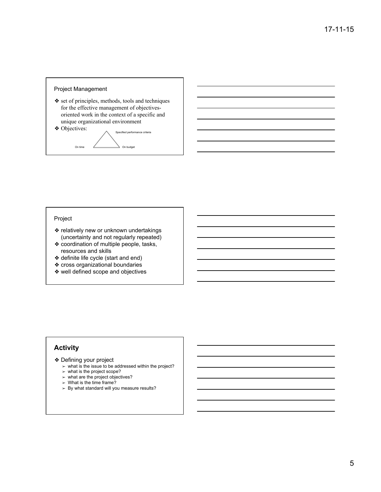#### Project Management

- ❖ set of principles, methods, tools and techniques for the effective management of objectivesoriented work in the context of a specific and unique organizational environment
- 



#### Project

- ❖ relatively new or unknown undertakings (uncertainty and not regularly repeated)
- ❖ coordination of multiple people, tasks, resources and skills
- ❖ definite life cycle (start and end)
- ❖ cross organizational boundaries
- ❖ well defined scope and objectives

#### **Activity**

- ❖ Defining your project
	- $\triangleright$  what is the issue to be addressed within the project?
	- ➢ what is the project scope?
	- $>$  what are the project objectives?
	- $>$  What is the time frame?
	- $>$  By what standard will you measure results?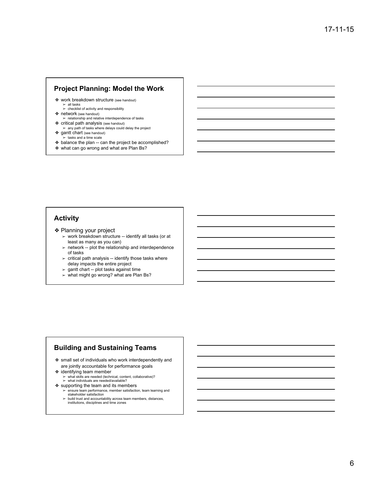#### **Project Planning: Model the Work**

- ❖ work breakdown structure (see handout)
	- ➢ all tasks ➢ checklist of activity and responsibility
- ❖ network (see handout)
- $\triangleright$  relationship and relative interdependence of tasks
- $\diamond$  critical path analysis (see handout)<br>  $>$  any path of tasks where delays could delay the project
- ❖ gantt chart (see handout)
- ➢ tasks and a time scale ❖ balance the plan -- can the project be accomplished?
- ❖ what can go wrong and what are Plan Bs?

#### **Activity**

- ❖ Planning your project
	- $>$  work breakdown structure -- identify all tasks (or at least as many as you can)
	- $\ge$  network -- plot the relationship and interdependence of tasks
	- $>$  critical path analysis -- identify those tasks where delay impacts the entire project
	- ➢ gantt chart -- plot tasks against time
	- ➢ what might go wrong? what are Plan Bs?

#### **Building and Sustaining Teams**

- ❖ small set of individuals who work interdependently and are jointly accountable for performance goals
- ❖ identifying team member ➢ what skills are needed (technical, content, collaborative)? ➢ what individuals are needed/available?
- ❖ supporting the team and its members
	- ➢ ensure team performance, member satisfaction, team learning and stakeholder satisfaction  $\ge$  build trust and accountability across team members, distances,
	- institutions, disciplines and time zones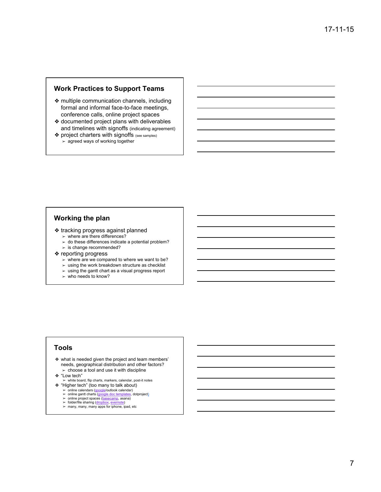#### **Work Practices to Support Teams**

- ❖ multiple communication channels, including formal and informal face-to-face meetings, conference calls, online project spaces
- ❖ documented project plans with deliverables and timelines with signoffs (indicating agreement)
- ❖ project charters with signoffs (see samples)  $\approx$  agreed ways of working together

### **Working the plan**

- ❖ tracking progress against planned
	- $\geq$  where are there differences?
	- $\geq$  do these differences indicate a potential problem?  $>$  is change recommended?
- ❖ reporting progress
	- ➢ where are we compared to where we want to be?
	- $>$  using the work breakdown structure as checklist
	- $\triangleright$  using the gantt chart as a visual progress report
	- $\geq$  who needs to know?

#### **Tools**

- ❖ what is needed given the project and team members' needs, geographical distribution and other factors?  $\ge$  choose a tool and use it with discipline
- ❖ "Low tech"
- ➢ white board, flip charts, markers, calendar, post-it notes
- ❖ "Higher tech" (too many to talk about)
	- ➢ online calendars (google/outlook calendar) ➢ online gantt charts (google doc templates, dotproject)
	- ➢ online project spaces (basecamp, asana)
	- $\geq$  folder/file sharing (dropbox, evernote)<br> $\geq$  many, many, many apps for iphone, ipad, etc
	-